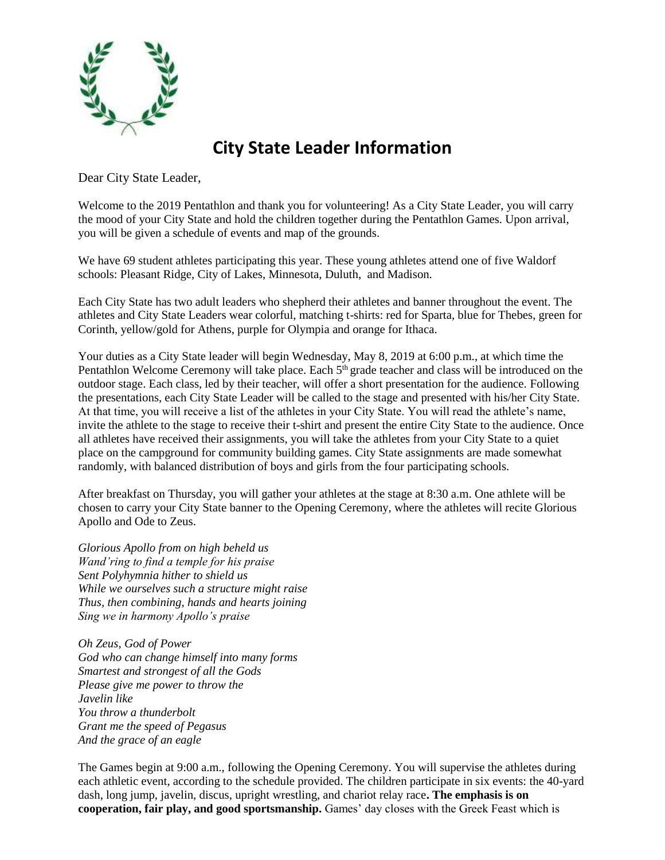

## **City State Leader Information**

Dear City State Leader,

Welcome to the 2019 Pentathlon and thank you for volunteering! As a City State Leader, you will carry the mood of your City State and hold the children together during the Pentathlon Games. Upon arrival, you will be given a schedule of events and map of the grounds.

We have 69 student athletes participating this year. These young athletes attend one of five Waldorf schools: Pleasant Ridge, City of Lakes, Minnesota, Duluth, and Madison.

Each City State has two adult leaders who shepherd their athletes and banner throughout the event. The athletes and City State Leaders wear colorful, matching t-shirts: red for Sparta, blue for Thebes, green for Corinth, yellow/gold for Athens, purple for Olympia and orange for Ithaca.

Your duties as a City State leader will begin Wednesday, May 8, 2019 at 6:00 p.m., at which time the Pentathlon Welcome Ceremony will take place. Each 5<sup>th</sup> grade teacher and class will be introduced on the outdoor stage. Each class, led by their teacher, will offer a short presentation for the audience. Following the presentations, each City State Leader will be called to the stage and presented with his/her City State. At that time, you will receive a list of the athletes in your City State. You will read the athlete's name, invite the athlete to the stage to receive their t-shirt and present the entire City State to the audience. Once all athletes have received their assignments, you will take the athletes from your City State to a quiet place on the campground for community building games. City State assignments are made somewhat randomly, with balanced distribution of boys and girls from the four participating schools.

After breakfast on Thursday, you will gather your athletes at the stage at 8:30 a.m. One athlete will be chosen to carry your City State banner to the Opening Ceremony, where the athletes will recite Glorious Apollo and Ode to Zeus.

*Glorious Apollo from on high beheld us Wand'ring to find a temple for his praise Sent Polyhymnia hither to shield us While we ourselves such a structure might raise Thus, then combining, hands and hearts joining Sing we in harmony Apollo's praise*

*Oh Zeus, God of Power God who can change himself into many forms Smartest and strongest of all the Gods Please give me power to throw the Javelin like You throw a thunderbolt Grant me the speed of Pegasus And the grace of an eagle*

The Games begin at 9:00 a.m., following the Opening Ceremony. You will supervise the athletes during each athletic event, according to the schedule provided. The children participate in six events: the 40-yard dash, long jump, javelin, discus, upright wrestling, and chariot relay race**. The emphasis is on cooperation, fair play, and good sportsmanship.** Games' day closes with the Greek Feast which is